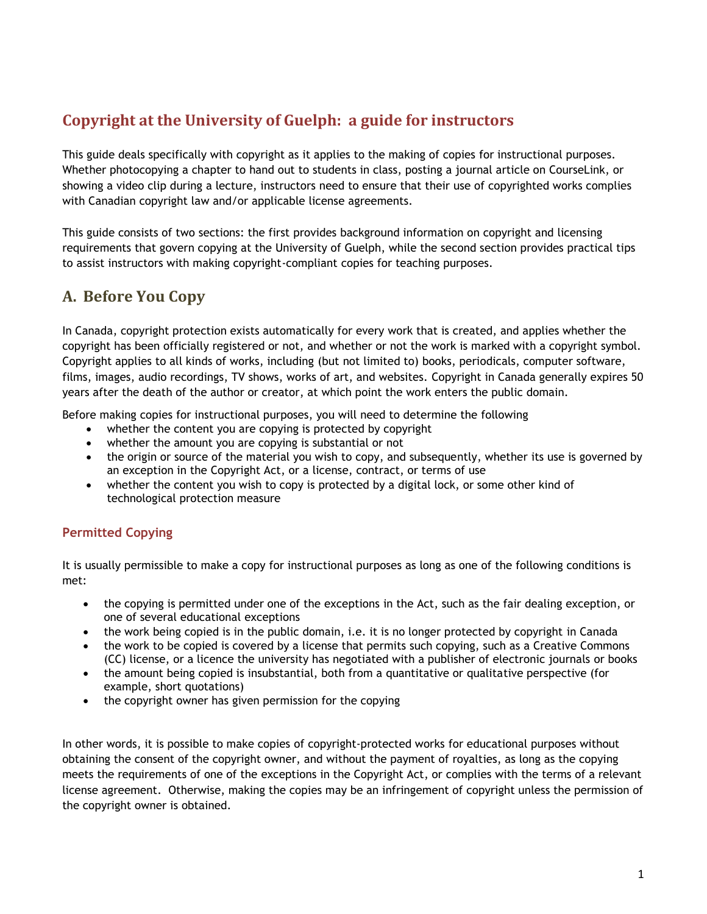# **Copyright at the University of Guelph: a guide for instructors**

This guide deals specifically with copyright as it applies to the making of copies for instructional purposes. Whether photocopying a chapter to hand out to students in class, posting a journal article on CourseLink, or showing a video clip during a lecture, instructors need to ensure that their use of copyrighted works complies with Canadian copyright law and/or applicable license agreements.

This guide consists of two sections: the first provides background information on copyright and licensing requirements that govern copying at the University of Guelph, while the second section provides practical tips to assist instructors with making copyright-compliant copies for teaching purposes.

# **A. Before You Copy**

In Canada, copyright protection exists automatically for every work that is created, and applies whether the copyright has been officially registered or not, and whether or not the work is marked with a copyright symbol. Copyright applies to all kinds of works, including (but not limited to) books, periodicals, computer software, films, images, audio recordings, TV shows, works of art, and websites. Copyright in Canada generally expires 50 years after the death of the author or creator, at which point the work enters the public domain.

Before making copies for instructional purposes, you will need to determine the following

- whether the content you are copying is protected by copyright
- whether the amount you are copying is substantial or not
- the origin or source of the material you wish to copy, and subsequently, whether its use is governed by an exception in the Copyright Act, or a license, contract, or terms of use
- whether the content you wish to copy is protected by a digital lock, or some other kind of technological protection measure

# **Permitted Copying**

It is usually permissible to make a copy for instructional purposes as long as one of the following conditions is met:

- the copying is permitted under one of the exceptions in the Act, such as the fair dealing exception, or one of several educational exceptions
- the work being copied is in the public domain, i.e. it is no longer protected by copyright in Canada
- the work to be copied is covered by a license that permits such copying, such as a Creative Commons (CC) license, or a licence the university has negotiated with a publisher of electronic journals or books
- the amount being copied is insubstantial, both from a quantitative or qualitative perspective (for example, short quotations)
- the copyright owner has given permission for the copying

In other words, it is possible to make copies of copyright-protected works for educational purposes without obtaining the consent of the copyright owner, and without the payment of royalties, as long as the copying meets the requirements of one of the exceptions in the Copyright Act, or complies with the terms of a relevant license agreement. Otherwise, making the copies may be an infringement of copyright unless the permission of the copyright owner is obtained.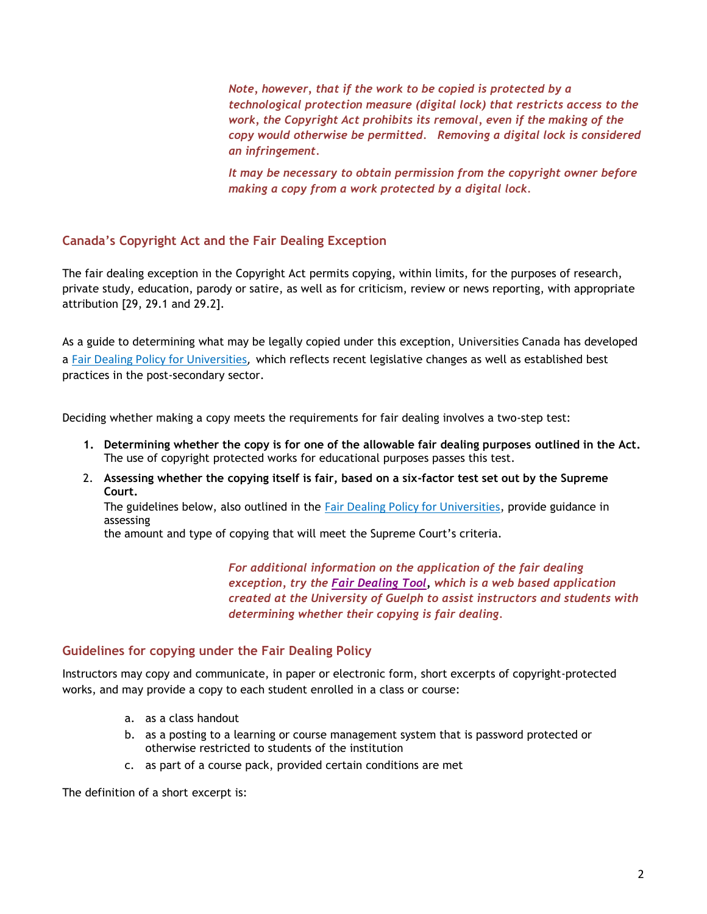*Note, however, that if the work to be copied is protected by a technological protection measure (digital lock) that restricts access to the work, the Copyright Act prohibits its removal, even if the making of the copy would otherwise be permitted. Removing a digital lock is considered an infringement.* 

*It may be necessary to obtain permission from the copyright owner before making a copy from a work protected by a digital lock.*

# **Canada's Copyright Act and the Fair Dealing Exception**

The fair dealing exception in the Copyright Act permits copying, within limits, for the purposes of research, private study, education, parody or satire, as well as for criticism, review or news reporting, with appropriate attribution [29, 29.1 and 29.2].

As a guide to determining what may be legally copied under this exception, Universities Canada has developed a [Fair Dealing Policy for Universities,](http://www.lib.uoguelph.ca/sites/default/files/fair_dealing_policy_0.pdf) which reflects recent legislative changes as well as established best practices in the post-secondary sector.

Deciding whether making a copy meets the requirements for fair dealing involves a two-step test:

- **1. Determining whether the copy is for one of the allowable fair dealing purposes outlined in the Act.** The use of copyright protected works for educational purposes passes this test.
- 2. **Assessing whether the copying itself is fair, based on a six-factor test set out by the Supreme Court.**

The guidelines below, also outlined in the [Fair Dealing Policy for Universities](http://www.lib.uoguelph.ca/sites/default/files/fair_dealing_policy_0.pdf), provide guidance in assessing

the amount and type of copying that will meet the Supreme Court's criteria.

*For additional information on the application of the fair dealing exception, try the [Fair Dealing Tool,](https://www.uoguelph.ca/fairdealing/) which is a web based application created at the University of Guelph to assist instructors and students with determining whether their copying is fair dealing.*

## **Guidelines for copying under the Fair Dealing Policy**

Instructors may copy and communicate, in paper or electronic form, short excerpts of copyright-protected works, and may provide a copy to each student enrolled in a class or course:

- a. as a class handout
- b. as a posting to a learning or course management system that is password protected or otherwise restricted to students of the institution
- c. as part of a course pack, provided certain conditions are met

The definition of a short excerpt is: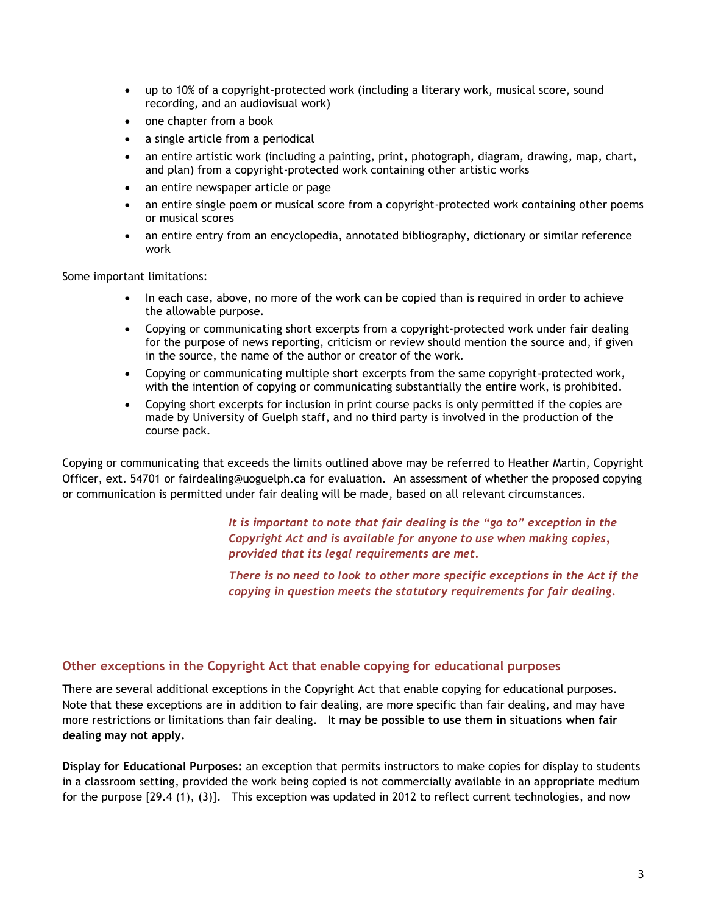- up to 10% of a copyright-protected work (including a literary work, musical score, sound recording, and an audiovisual work)
- one chapter from a book
- a single article from a periodical
- an entire artistic work (including a painting, print, photograph, diagram, drawing, map, chart, and plan) from a copyright-protected work containing other artistic works
- an entire newspaper article or page
- an entire single poem or musical score from a copyright-protected work containing other poems or musical scores
- an entire entry from an encyclopedia, annotated bibliography, dictionary or similar reference work

Some important limitations:

- In each case, above, no more of the work can be copied than is required in order to achieve the allowable purpose.
- Copying or communicating short excerpts from a copyright-protected work under fair dealing for the purpose of news reporting, criticism or review should mention the source and, if given in the source, the name of the author or creator of the work.
- Copying or communicating multiple short excerpts from the same copyright-protected work, with the intention of copying or communicating substantially the entire work, is prohibited.
- Copying short excerpts for inclusion in print course packs is only permitted if the copies are made by University of Guelph staff, and no third party is involved in the production of the course pack.

Copying or communicating that exceeds the limits outlined above may be referred to Heather Martin, Copyright Officer, ext. 54701 or [fairdealing@uoguelph.ca](mailto:fairdealing@uoguelph.ca) for evaluation. An assessment of whether the proposed copying or communication is permitted under fair dealing will be made, based on all relevant circumstances.

> *It is important to note that fair dealing is the "go to" exception in the Copyright Act and is available for anyone to use when making copies, provided that its legal requirements are met.*

*There is no need to look to other more specific exceptions in the Act if the copying in question meets the statutory requirements for fair dealing.*

## **Other exceptions in the Copyright Act that enable copying for educational purposes**

There are several additional exceptions in the Copyright Act that enable copying for educational purposes. Note that these exceptions are in addition to fair dealing, are more specific than fair dealing, and may have more restrictions or limitations than fair dealing. **It may be possible to use them in situations when fair dealing may not apply.**

**Display for Educational Purposes:** an exception that permits instructors to make copies for display to students in a classroom setting, provided the work being copied is not commercially available in an appropriate medium for the purpose [29.4 (1), (3)]. This exception was updated in 2012 to reflect current technologies, and now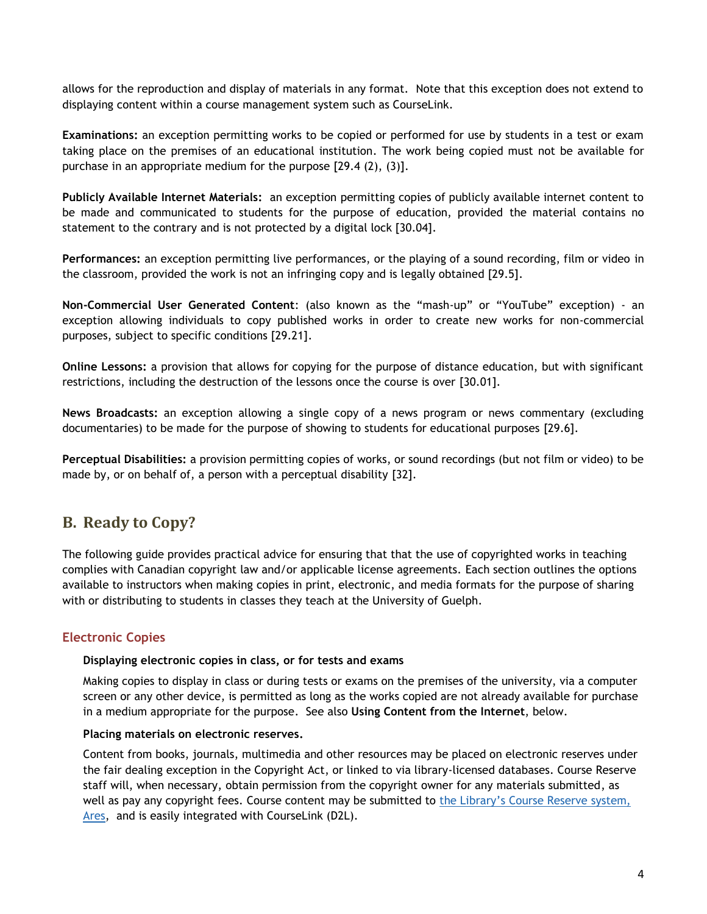allows for the reproduction and display of materials in any format. Note that this exception does not extend to displaying content within a course management system such as CourseLink.

**Examinations:** an exception permitting works to be copied or performed for use by students in a test or exam taking place on the premises of an educational institution. The work being copied must not be available for purchase in an appropriate medium for the purpose [29.4 (2), (3)].

**Publicly Available Internet Materials:** an exception permitting copies of publicly available internet content to be made and communicated to students for the purpose of education, provided the material contains no statement to the contrary and is not protected by a digital lock [30.04].

**Performances:** an exception permitting live performances, or the playing of a sound recording, film or video in the classroom, provided the work is not an infringing copy and is legally obtained [29.5].

**Non-Commercial User Generated Content**: (also known as the "mash-up" or "YouTube" exception) - an exception allowing individuals to copy published works in order to create new works for non-commercial purposes, subject to specific conditions [29.21].

**Online Lessons:** a provision that allows for copying for the purpose of distance education, but with significant restrictions, including the destruction of the lessons once the course is over [30.01].

**News Broadcasts:** an exception allowing a single copy of a news program or news commentary (excluding documentaries) to be made for the purpose of showing to students for educational purposes [29.6].

**Perceptual Disabilities:** a provision permitting copies of works, or sound recordings (but not film or video) to be made by, or on behalf of, a person with a perceptual disability [32].

# **B. Ready to Copy?**

The following guide provides practical advice for ensuring that that the use of copyrighted works in teaching complies with Canadian copyright law and/or applicable license agreements. Each section outlines the options available to instructors when making copies in print, electronic, and media formats for the purpose of sharing with or distributing to students in classes they teach at the University of Guelph.

## **Electronic Copies**

#### **Displaying electronic copies in class, or for tests and exams**

Making copies to display in class or during tests or exams on the premises of the university, via a computer screen or any other device, is permitted as long as the works copied are not already available for purchase in a medium appropriate for the purpose. See also **Using Content from the Internet**, below.

#### **Placing materials on electronic reserves.**

Content from books, journals, multimedia and other resources may be placed on electronic reserves under the fair dealing exception in the Copyright Act, or linked to via library-licensed databases. Course Reserve staff will, when necessary, obtain permission from the copyright owner for any materials submitted, as well as pay any copyright fees. Course content may be submitted to the Library'[s Course Reserve system,](https://ares.lib.uoguelph.ca/ares/)  [Ares,](https://ares.lib.uoguelph.ca/ares/) and is easily integrated with CourseLink (D2L).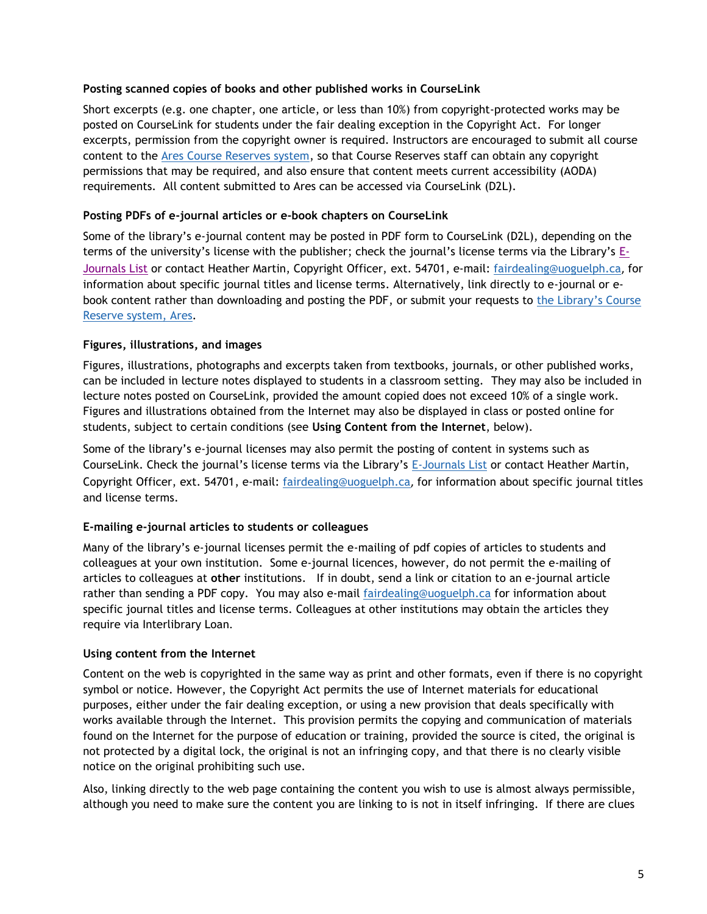## **Posting scanned copies of books and other published works in CourseLink**

Short excerpts (e.g. one chapter, one article, or less than 10%) from copyright-protected works may be posted on CourseLink for students under the fair dealing exception in the Copyright Act. For longer excerpts, permission from the copyright owner is required. Instructors are encouraged to submit all course content to the [Ares Course Reserves system,](https://ares.lib.uoguelph.ca/ares/) so that Course Reserves staff can obtain any copyright permissions that may be required, and also ensure that content meets current accessibility (AODA) requirements. All content submitted to Ares can be accessed via CourseLink (D2L).

## **Posting PDFs of e-journal articles or e-book chapters on CourseLink**

Some of the library's e-journal content may be posted in PDF form to CourseLink (D2L), depending on the terms of the university's license with the publisher; check the journal's license terms via the Library's [E-](http://sfx.scholarsportal.info/guelph/az)[Journals List](http://sfx.scholarsportal.info/guelph/az) or contact Heather Martin, Copyright Officer, ext. 54701, e-mail: [fairdealing@uoguelph.ca](mailto:fairdealing@uoguelph.ca), for information about specific journal titles and license terms. Alternatively, link directly to e-journal or ebook content rather than downloading and posting the PDF, or submit your requests to [the Library](https://ares.lib.uoguelph.ca/ares/)'s Course [Reserve system, Ares.](https://ares.lib.uoguelph.ca/ares/)

## **Figures, illustrations, and images**

Figures, illustrations, photographs and excerpts taken from textbooks, journals, or other published works, can be included in lecture notes displayed to students in a classroom setting. They may also be included in lecture notes posted on CourseLink, provided the amount copied does not exceed 10% of a single work. Figures and illustrations obtained from the Internet may also be displayed in class or posted online for students, subject to certain conditions (see **Using Content from the Internet**, below).

Some of the library's e-journal licenses may also permit the posting of content in systems such as CourseLink. Check the journal's license terms via the Library's [E-Journals List](http://sfx.scholarsportal.info/guelph/az) or contact Heather Martin, Copyright Officer, ext. 54701, e-mail: [fairdealing@uoguelph.ca](mailto:fairdealing@uoguelph.ca), for information about specific journal titles and license terms.

## **E-mailing e-journal articles to students or colleagues**

Many of the library's e-journal licenses permit the e-mailing of pdf copies of articles to students and colleagues at your own institution. Some e-journal licences, however, do not permit the e-mailing of articles to colleagues at **other** institutions. If in doubt, send a link or citation to an e-journal article rather than sending a PDF copy. You may also e-mail [fairdealing@uoguelph.ca](mailto:fairdealing@uoguelph.ca) for information about specific journal titles and license terms. Colleagues at other institutions may obtain the articles they require via Interlibrary Loan.

## **Using content from the Internet**

Content on the web is copyrighted in the same way as print and other formats, even if there is no copyright symbol or notice. However, the Copyright Act permits the use of Internet materials for educational purposes, either under the fair dealing exception, or using a new provision that deals specifically with works available through the Internet. This provision permits the copying and communication of materials found on the Internet for the purpose of education or training, provided the source is cited, the original is not protected by a digital lock, the original is not an infringing copy, and that there is no clearly visible notice on the original prohibiting such use.

Also, linking directly to the web page containing the content you wish to use is almost always permissible, although you need to make sure the content you are linking to is not in itself infringing. If there are clues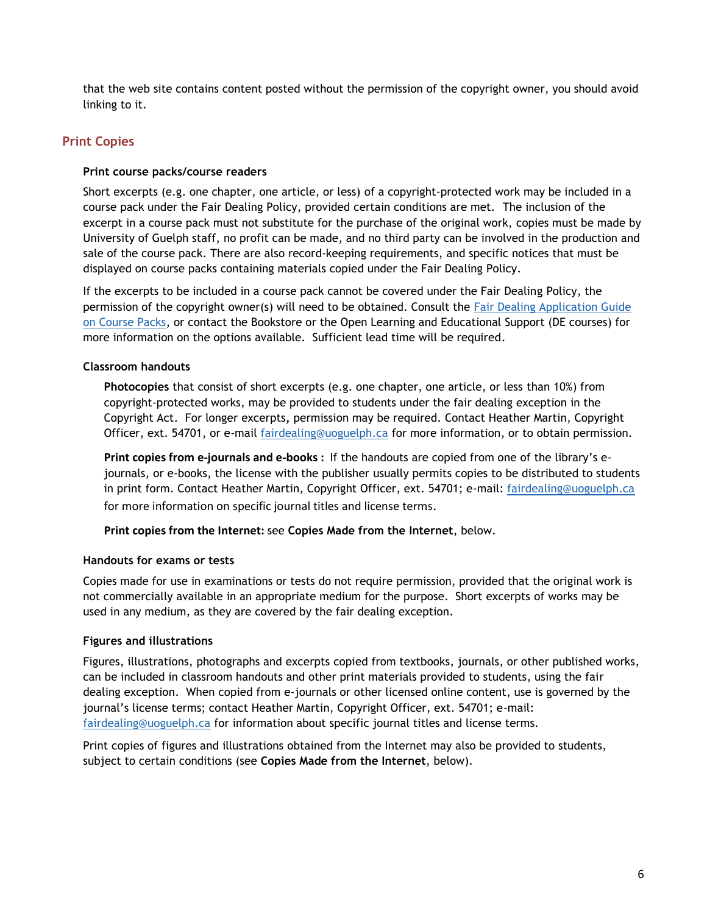that the web site contains content posted without the permission of the copyright owner, you should avoid linking to it.

# **Print Copies**

## **Print course packs/course readers**

Short excerpts (e.g. one chapter, one article, or less) of a copyright-protected work may be included in a course pack under the Fair Dealing Policy, provided certain conditions are met. The inclusion of the excerpt in a course pack must not substitute for the purchase of the original work, copies must be made by University of Guelph staff, no profit can be made, and no third party can be involved in the production and sale of the course pack. There are also record-keeping requirements, and specific notices that must be displayed on course packs containing materials copied under the Fair Dealing Policy.

If the excerpts to be included in a course pack cannot be covered under the Fair Dealing Policy, the permission of the copyright owner(s) will need to be obtained. Consult the [Fair Dealing Application Guide](http://www.lib.uoguelph.ca/sites/default/files/production_and_sale_of_course_packs.pdf)  [on Course Packs,](http://www.lib.uoguelph.ca/sites/default/files/production_and_sale_of_course_packs.pdf) or contact the Bookstore or the Open Learning and Educational Support (DE courses) for more information on the options available. Sufficient lead time will be required.

## **Classroom handouts**

**Photocopies** that consist of short excerpts (e.g. one chapter, one article, or less than 10%) from copyright-protected works, may be provided to students under the fair dealing exception in the Copyright Act. For longer excerpts**,** permission may be required. Contact Heather Martin, Copyright Officer, ext. 54701, or e-mail [fairdealing@uoguelph.ca](mailto:fairdealing@uoguelph.ca) for more information, or to obtain permission.

**Print copies from e-journals and e-books :** If the handouts are copied from one of the library's ejournals, or e-books, the license with the publisher usually permits copies to be distributed to students in print form. Contact Heather Martin, Copyright Officer, ext. 54701; e-mail: [fairdealing@uoguelph.ca](mailto:fairdealing@uoguelph.ca) for more information on specific journal titles and license terms.

**Print copies from the Internet:** see **Copies Made from the Internet**, below.

## **Handouts for exams or tests**

Copies made for use in examinations or tests do not require permission, provided that the original work is not commercially available in an appropriate medium for the purpose. Short excerpts of works may be used in any medium, as they are covered by the fair dealing exception.

## **Figures and illustrations**

Figures, illustrations, photographs and excerpts copied from textbooks, journals, or other published works, can be included in classroom handouts and other print materials provided to students, using the fair dealing exception. When copied from e-journals or other licensed online content, use is governed by the journal's license terms; contact Heather Martin, Copyright Officer, ext. 54701; e-mail: [fairdealing@uoguelph.ca](mailto:fairdealing@uoguelph.ca) for information about specific journal titles and license terms.

Print copies of figures and illustrations obtained from the Internet may also be provided to students, subject to certain conditions (see **Copies Made from the Internet**, below).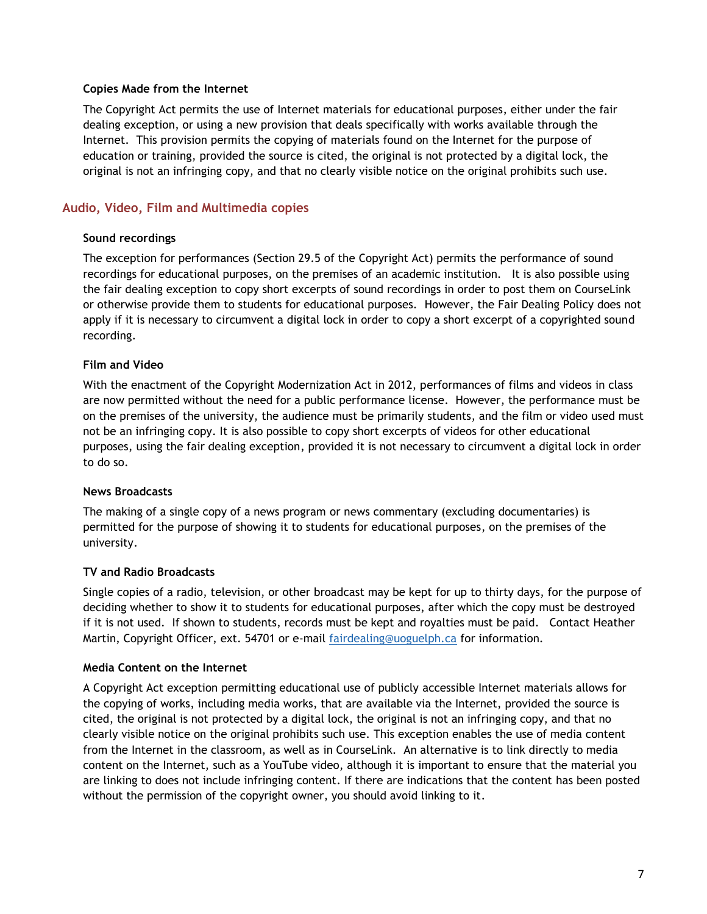#### **Copies Made from the Internet**

The Copyright Act permits the use of Internet materials for educational purposes, either under the fair dealing exception, or using a new provision that deals specifically with works available through the Internet. This provision permits the copying of materials found on the Internet for the purpose of education or training, provided the source is cited, the original is not protected by a digital lock, the original is not an infringing copy, and that no clearly visible notice on the original prohibits such use.

## **Audio, Video, Film and Multimedia copies**

#### **Sound recordings**

The exception for performances (Section 29.5 of the Copyright Act) permits the performance of sound recordings for educational purposes, on the premises of an academic institution. It is also possible using the fair dealing exception to copy short excerpts of sound recordings in order to post them on CourseLink or otherwise provide them to students for educational purposes. However, the Fair Dealing Policy does not apply if it is necessary to circumvent a digital lock in order to copy a short excerpt of a copyrighted sound recording.

## **Film and Video**

With the enactment of the Copyright Modernization Act in 2012, performances of films and videos in class are now permitted without the need for a public performance license. However, the performance must be on the premises of the university, the audience must be primarily students, and the film or video used must not be an infringing copy. It is also possible to copy short excerpts of videos for other educational purposes, using the fair dealing exception, provided it is not necessary to circumvent a digital lock in order to do so.

#### **News Broadcasts**

The making of a single copy of a news program or news commentary (excluding documentaries) is permitted for the purpose of showing it to students for educational purposes, on the premises of the university.

#### **TV and Radio Broadcasts**

Single copies of a radio, television, or other broadcast may be kept for up to thirty days, for the purpose of deciding whether to show it to students for educational purposes, after which the copy must be destroyed if it is not used. If shown to students, records must be kept and royalties must be paid. Contact Heather Martin, Copyright Officer, ext. 54701 or e-mail [fairdealing@uoguelph.ca](mailto:fairdealing@uoguelph.ca) for information.

#### **Media Content on the Internet**

A Copyright Act exception permitting educational use of publicly accessible Internet materials allows for the copying of works, including media works, that are available via the Internet, provided the source is cited, the original is not protected by a digital lock, the original is not an infringing copy, and that no clearly visible notice on the original prohibits such use. This exception enables the use of media content from the Internet in the classroom, as well as in CourseLink. An alternative is to link directly to media content on the Internet, such as a YouTube video, although it is important to ensure that the material you are linking to does not include infringing content. If there are indications that the content has been posted without the permission of the copyright owner, you should avoid linking to it.